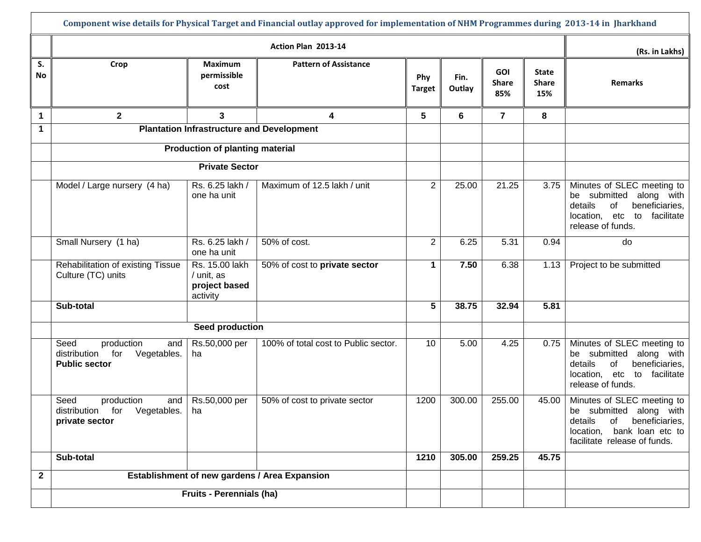|              | Component wise details for Physical Target and Financial outlay approved for implementation of NHM Programmes during 2013-14 in Jharkhand |                                                           |                                      |                      |                |                                   |                                     |                                                                                                                                                     |  |  |  |
|--------------|-------------------------------------------------------------------------------------------------------------------------------------------|-----------------------------------------------------------|--------------------------------------|----------------------|----------------|-----------------------------------|-------------------------------------|-----------------------------------------------------------------------------------------------------------------------------------------------------|--|--|--|
|              |                                                                                                                                           | (Rs. in Lakhs)                                            |                                      |                      |                |                                   |                                     |                                                                                                                                                     |  |  |  |
| S.<br>No     | Crop                                                                                                                                      | Maximum<br>permissible<br>cost                            | <b>Pattern of Assistance</b>         | Phy<br><b>Target</b> | Fin.<br>Outlay | <b>GOI</b><br><b>Share</b><br>85% | <b>State</b><br><b>Share</b><br>15% | <b>Remarks</b>                                                                                                                                      |  |  |  |
| $\mathbf 1$  | $\mathbf{2}$                                                                                                                              | 3                                                         | 4                                    | 5                    | 6              | $\overline{7}$                    | 8                                   |                                                                                                                                                     |  |  |  |
| 1            | <b>Plantation Infrastructure and Development</b>                                                                                          |                                                           |                                      |                      |                |                                   |                                     |                                                                                                                                                     |  |  |  |
|              |                                                                                                                                           | <b>Production of planting material</b>                    |                                      |                      |                |                                   |                                     |                                                                                                                                                     |  |  |  |
|              |                                                                                                                                           | <b>Private Sector</b>                                     |                                      |                      |                |                                   |                                     |                                                                                                                                                     |  |  |  |
|              | Model / Large nursery (4 ha)                                                                                                              | Rs. 6.25 lakh /<br>one ha unit                            | Maximum of 12.5 lakh / unit          | 2                    | 25.00          | 21.25                             | 3.75                                | Minutes of SLEC meeting to<br>be submitted<br>along with<br>details<br>of<br>beneficiaries,<br>location, etc<br>to facilitate<br>release of funds.  |  |  |  |
|              | Small Nursery (1 ha)                                                                                                                      | Rs. 6.25 lakh /<br>one ha unit                            | 50% of cost.                         | 2                    | 6.25           | 5.31                              | 0.94                                | do                                                                                                                                                  |  |  |  |
|              | Rehabilitation of existing Tissue<br>Culture (TC) units                                                                                   | Rs. 15.00 lakh<br>/ unit, as<br>project based<br>activity | 50% of cost to private sector        | $\blacktriangleleft$ | 7.50           | 6.38                              | 1.13                                | Project to be submitted                                                                                                                             |  |  |  |
|              | Sub-total                                                                                                                                 |                                                           |                                      | 5                    | 38.75          | 32.94                             | 5.81                                |                                                                                                                                                     |  |  |  |
|              |                                                                                                                                           | Seed production                                           |                                      |                      |                |                                   |                                     |                                                                                                                                                     |  |  |  |
|              | production<br>Seed<br>and<br>for<br>Vegetables.<br>distribution<br><b>Public sector</b>                                                   | Rs.50,000 per<br>ha                                       | 100% of total cost to Public sector. | 10                   | 5.00           | 4.25                              | 0.75                                | Minutes of SLEC meeting to<br>be submitted along with<br>of<br>details<br>beneficiaries,<br>location, etc<br>to facilitate<br>release of funds.     |  |  |  |
|              | Seed<br>production<br>and  <br>distribution for Vegetables.<br>private sector                                                             | Rs.50,000 per<br>ha                                       | 50% of cost to private sector        | 1200                 | 300.00         | 255.00                            | 45.00                               | Minutes of SLEC meeting to<br>be submitted along with<br>details<br>of beneficiaries,<br>location, bank loan etc to<br>facilitate release of funds. |  |  |  |
|              | Sub-total                                                                                                                                 |                                                           |                                      | 1210                 | 305.00         | 259.25                            | 45.75                               |                                                                                                                                                     |  |  |  |
| $\mathbf{2}$ | Establishment of new gardens / Area Expansion                                                                                             |                                                           |                                      |                      |                |                                   |                                     |                                                                                                                                                     |  |  |  |
|              | <b>Fruits - Perennials (ha)</b>                                                                                                           |                                                           |                                      |                      |                |                                   |                                     |                                                                                                                                                     |  |  |  |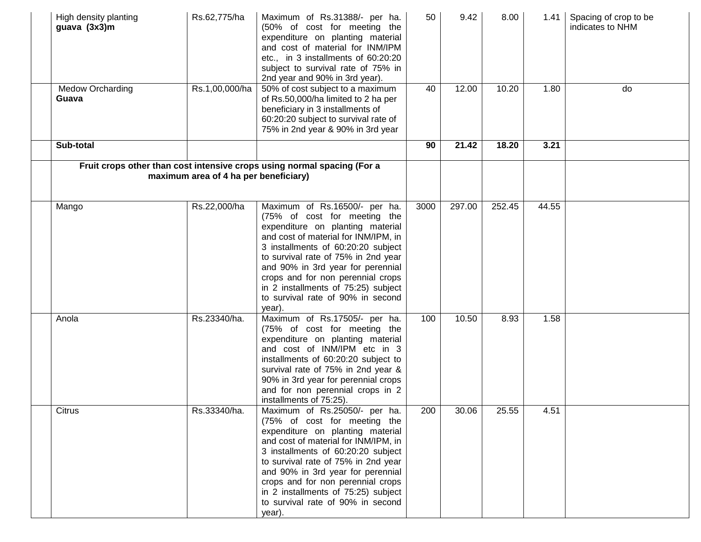| High density planting<br>guava (3x3)m | Rs.62,775/ha                          | Maximum of Rs.31388/- per ha.<br>(50% of cost for meeting the<br>expenditure on planting material<br>and cost of material for INM/IPM<br>etc., in 3 installments of 60:20:20<br>subject to survival rate of 75% in<br>2nd year and 90% in 3rd year).                                                                                                                                   | 50   | 9.42   | 8.00   | 1.41  | Spacing of crop to be<br>indicates to NHM |
|---------------------------------------|---------------------------------------|----------------------------------------------------------------------------------------------------------------------------------------------------------------------------------------------------------------------------------------------------------------------------------------------------------------------------------------------------------------------------------------|------|--------|--------|-------|-------------------------------------------|
| <b>Medow Orcharding</b><br>Guava      | Rs.1,00,000/ha                        | 50% of cost subject to a maximum<br>of Rs.50,000/ha limited to 2 ha per<br>beneficiary in 3 installments of<br>60:20:20 subject to survival rate of<br>75% in 2nd year & 90% in 3rd year                                                                                                                                                                                               | 40   | 12.00  | 10.20  | 1.80  | do                                        |
| Sub-total                             |                                       |                                                                                                                                                                                                                                                                                                                                                                                        | 90   | 21.42  | 18.20  | 3.21  |                                           |
|                                       | maximum area of 4 ha per beneficiary) | Fruit crops other than cost intensive crops using normal spacing (For a                                                                                                                                                                                                                                                                                                                |      |        |        |       |                                           |
| Mango                                 | Rs.22,000/ha                          | Maximum of Rs.16500/- per ha.<br>(75% of cost for meeting the<br>expenditure on planting material<br>and cost of material for INM/IPM, in<br>3 installments of 60:20:20 subject<br>to survival rate of 75% in 2nd year<br>and 90% in 3rd year for perennial<br>crops and for non perennial crops<br>in 2 installments of 75:25) subject<br>to survival rate of 90% in second<br>year). | 3000 | 297.00 | 252.45 | 44.55 |                                           |
| Anola                                 | Rs.23340/ha.                          | Maximum of Rs.17505/- per ha.<br>(75% of cost for meeting the<br>expenditure on planting material<br>and cost of INM/IPM etc in 3<br>installments of 60:20:20 subject to<br>survival rate of 75% in 2nd year &<br>90% in 3rd year for perennial crops<br>and for non perennial crops in 2<br>installments of 75:25).                                                                   | 100  | 10.50  | 8.93   | 1.58  |                                           |
| Citrus                                | Rs.33340/ha.                          | Maximum of Rs.25050/- per ha.<br>(75% of cost for meeting the<br>expenditure on planting material<br>and cost of material for INM/IPM, in<br>3 installments of 60:20:20 subject<br>to survival rate of 75% in 2nd year<br>and 90% in 3rd year for perennial<br>crops and for non perennial crops<br>in 2 installments of 75:25) subject<br>to survival rate of 90% in second<br>year). | 200  | 30.06  | 25.55  | 4.51  |                                           |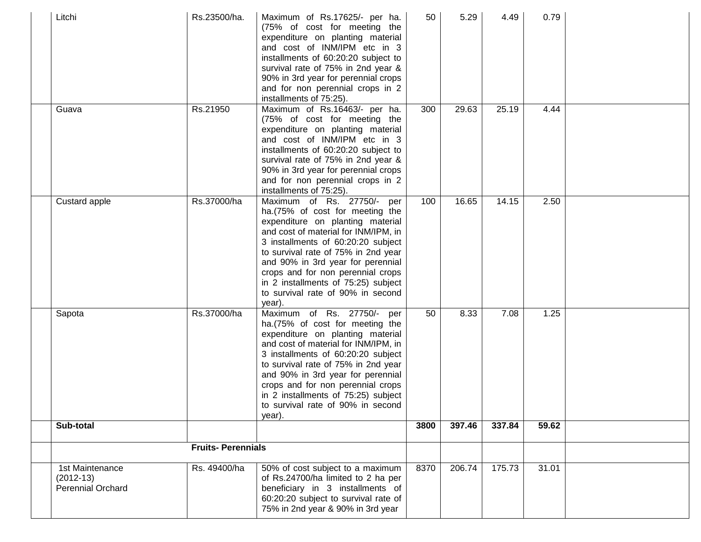| Litchi                                              | Rs.23500/ha.             | Maximum of Rs.17625/- per ha.<br>(75% of cost for meeting the<br>expenditure on planting material<br>and cost of INM/IPM etc in 3<br>installments of 60:20:20 subject to<br>survival rate of 75% in 2nd year &<br>90% in 3rd year for perennial crops<br>and for non perennial crops in 2<br>installments of 75:25).                                                                   | 50   | 5.29   | 4.49   | 0.79  |  |
|-----------------------------------------------------|--------------------------|----------------------------------------------------------------------------------------------------------------------------------------------------------------------------------------------------------------------------------------------------------------------------------------------------------------------------------------------------------------------------------------|------|--------|--------|-------|--|
| Guava                                               | Rs.21950                 | Maximum of Rs.16463/- per ha.<br>(75% of cost for meeting the<br>expenditure on planting material<br>and cost of INM/IPM etc in 3<br>installments of 60:20:20 subject to<br>survival rate of 75% in 2nd year &<br>90% in 3rd year for perennial crops<br>and for non perennial crops in 2<br>installments of 75:25).                                                                   | 300  | 29.63  | 25.19  | 4.44  |  |
| Custard apple                                       | Rs.37000/ha              | Maximum of Rs. 27750/- per<br>ha.(75% of cost for meeting the<br>expenditure on planting material<br>and cost of material for INM/IPM, in<br>3 installments of 60:20:20 subject<br>to survival rate of 75% in 2nd year<br>and 90% in 3rd year for perennial<br>crops and for non perennial crops<br>in 2 installments of 75:25) subject<br>to survival rate of 90% in second<br>year). | 100  | 16.65  | 14.15  | 2.50  |  |
| Sapota                                              | Rs.37000/ha              | Maximum of Rs. 27750/- per<br>ha.(75% of cost for meeting the<br>expenditure on planting material<br>and cost of material for INM/IPM, in<br>3 installments of 60:20:20 subject<br>to survival rate of 75% in 2nd year<br>and 90% in 3rd year for perennial<br>crops and for non perennial crops<br>in 2 installments of 75:25) subject<br>to survival rate of 90% in second<br>year). | 50   | 8.33   | 7.08   | 1.25  |  |
| Sub-total                                           |                          |                                                                                                                                                                                                                                                                                                                                                                                        | 3800 | 397.46 | 337.84 | 59.62 |  |
|                                                     | <b>Fruits-Perennials</b> |                                                                                                                                                                                                                                                                                                                                                                                        |      |        |        |       |  |
| 1st Maintenance<br>$(2012-13)$<br>Perennial Orchard | Rs. 49400/ha             | 50% of cost subject to a maximum<br>of Rs.24700/ha limited to 2 ha per<br>beneficiary in 3 installments of<br>60:20:20 subject to survival rate of<br>75% in 2nd year & 90% in 3rd year                                                                                                                                                                                                | 8370 | 206.74 | 175.73 | 31.01 |  |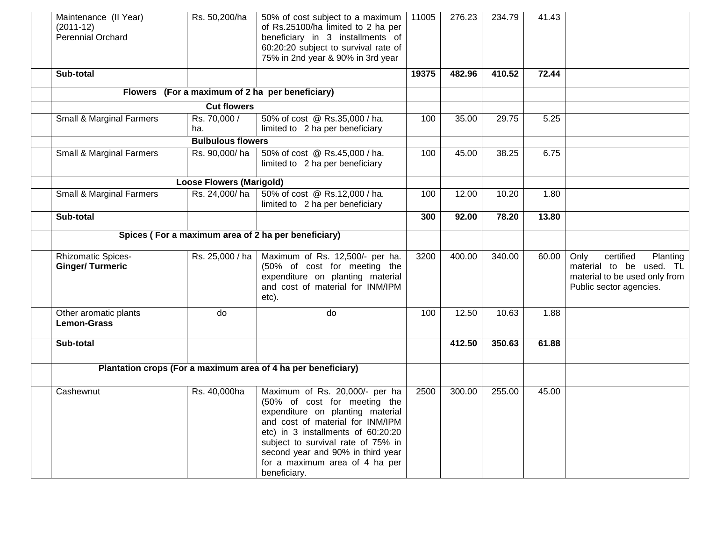| Maintenance (II Year)<br>$(2011-12)$<br>Perennial Orchard | Rs. 50,200/ha                   | 50% of cost subject to a maximum   11005<br>of Rs.25100/ha limited to 2 ha per<br>beneficiary in 3 installments of<br>60:20:20 subject to survival rate of<br>75% in 2nd year & 90% in 3rd year                                                                                                           |       | 276.23 | 234.79 | 41.43 |                                                                                                                      |
|-----------------------------------------------------------|---------------------------------|-----------------------------------------------------------------------------------------------------------------------------------------------------------------------------------------------------------------------------------------------------------------------------------------------------------|-------|--------|--------|-------|----------------------------------------------------------------------------------------------------------------------|
| Sub-total                                                 |                                 |                                                                                                                                                                                                                                                                                                           | 19375 | 482.96 | 410.52 | 72.44 |                                                                                                                      |
|                                                           |                                 | Flowers (For a maximum of 2 ha per beneficiary)                                                                                                                                                                                                                                                           |       |        |        |       |                                                                                                                      |
|                                                           | <b>Cut flowers</b>              |                                                                                                                                                                                                                                                                                                           |       |        |        |       |                                                                                                                      |
| Small & Marginal Farmers                                  | Rs. 70,000 /<br>ha.             | 50% of cost @ Rs.35,000 / ha.<br>limited to 2 ha per beneficiary                                                                                                                                                                                                                                          | 100   | 35.00  | 29.75  | 5.25  |                                                                                                                      |
|                                                           | <b>Bulbulous flowers</b>        |                                                                                                                                                                                                                                                                                                           |       |        |        |       |                                                                                                                      |
| Small & Marginal Farmers                                  | Rs. 90,000/ha                   | 50% of cost @ Rs.45,000 / ha.<br>limited to 2 ha per beneficiary                                                                                                                                                                                                                                          | 100   | 45.00  | 38.25  | 6.75  |                                                                                                                      |
|                                                           | <b>Loose Flowers (Marigold)</b> |                                                                                                                                                                                                                                                                                                           |       |        |        |       |                                                                                                                      |
| Small & Marginal Farmers                                  | Rs. 24,000/ha                   | 50% of cost @ Rs.12,000 / ha.<br>limited to 2 ha per beneficiary                                                                                                                                                                                                                                          | 100   | 12.00  | 10.20  | 1.80  |                                                                                                                      |
| Sub-total                                                 |                                 |                                                                                                                                                                                                                                                                                                           | 300   | 92.00  | 78.20  | 13.80 |                                                                                                                      |
|                                                           |                                 | Spices (For a maximum area of 2 ha per beneficiary)                                                                                                                                                                                                                                                       |       |        |        |       |                                                                                                                      |
| <b>Rhizomatic Spices-</b><br><b>Ginger/Turmeric</b>       | Rs. 25,000 / ha                 | Maximum of Rs. 12,500/- per ha.<br>(50% of cost for meeting the<br>expenditure on planting material<br>and cost of material for INM/IPM<br>etc).                                                                                                                                                          | 3200  | 400.00 | 340.00 | 60.00 | Only<br>certified<br>Planting<br>material to be used. TL<br>material to be used only from<br>Public sector agencies. |
| Other aromatic plants<br><b>Lemon-Grass</b>               | do                              | do                                                                                                                                                                                                                                                                                                        | 100   | 12.50  | 10.63  | 1.88  |                                                                                                                      |
| Sub-total                                                 |                                 |                                                                                                                                                                                                                                                                                                           |       | 412.50 | 350.63 | 61.88 |                                                                                                                      |
|                                                           |                                 | Plantation crops (For a maximum area of 4 ha per beneficiary)                                                                                                                                                                                                                                             |       |        |        |       |                                                                                                                      |
| Cashewnut                                                 | Rs. 40,000ha                    | Maximum of Rs. 20,000/- per ha<br>(50% of cost for meeting the<br>expenditure on planting material<br>and cost of material for INM/IPM<br>etc) in 3 installments of 60:20:20<br>subject to survival rate of 75% in<br>second year and 90% in third year<br>for a maximum area of 4 ha per<br>beneficiary. | 2500  | 300.00 | 255.00 | 45.00 |                                                                                                                      |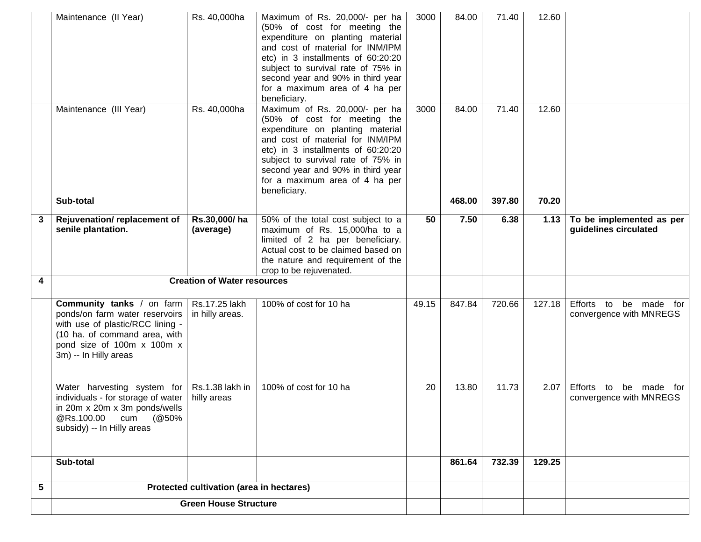|   | Maintenance (II Year)                                                                                                                                                                          | Rs. 40,000ha                             | Maximum of Rs. 20,000/- per ha<br>(50% of cost for meeting the<br>expenditure on planting material<br>and cost of material for INM/IPM<br>etc) in 3 installments of 60:20:20<br>subject to survival rate of 75% in<br>second year and 90% in third year<br>for a maximum area of 4 ha per<br>beneficiary. | 3000  | 84.00  | 71.40  | 12.60  |                                                      |
|---|------------------------------------------------------------------------------------------------------------------------------------------------------------------------------------------------|------------------------------------------|-----------------------------------------------------------------------------------------------------------------------------------------------------------------------------------------------------------------------------------------------------------------------------------------------------------|-------|--------|--------|--------|------------------------------------------------------|
|   | Maintenance (III Year)                                                                                                                                                                         | Rs. 40,000ha                             | Maximum of Rs. 20,000/- per ha<br>(50% of cost for meeting the<br>expenditure on planting material<br>and cost of material for INM/IPM<br>etc) in 3 installments of 60:20:20<br>subject to survival rate of 75% in<br>second year and 90% in third year<br>for a maximum area of 4 ha per<br>beneficiary. | 3000  | 84.00  | 71.40  | 12.60  |                                                      |
|   | Sub-total                                                                                                                                                                                      |                                          |                                                                                                                                                                                                                                                                                                           |       | 468.00 | 397.80 | 70.20  |                                                      |
| 3 | Rejuvenation/replacement of<br>senile plantation.                                                                                                                                              | Rs.30,000/ha<br>(average)                | 50% of the total cost subject to a<br>maximum of Rs. 15,000/ha to a<br>limited of 2 ha per beneficiary.<br>Actual cost to be claimed based on<br>the nature and requirement of the<br>crop to be rejuvenated.                                                                                             | 50    | 7.50   | 6.38   | 1.13   | To be implemented as per<br>guidelines circulated    |
| 4 |                                                                                                                                                                                                | <b>Creation of Water resources</b>       |                                                                                                                                                                                                                                                                                                           |       |        |        |        |                                                      |
|   | <b>Community tanks</b> / on farm<br>ponds/on farm water reservoirs<br>with use of plastic/RCC lining -<br>(10 ha. of command area, with<br>pond size of 100m x 100m x<br>3m) -- In Hilly areas | Rs.17.25 lakh<br>in hilly areas.         | 100% of cost for 10 ha                                                                                                                                                                                                                                                                                    | 49.15 | 847.84 | 720.66 | 127.18 | Efforts to be made for<br>convergence with MNREGS    |
|   | Water harvesting system for<br>individuals - for storage of water<br>in 20m x 20m x 3m ponds/wells<br>@Rs.100.00 cum (@50%<br>subsidy) -- In Hilly areas                                       | Rs.1.38 lakh in<br>hilly areas           | 100% of cost for 10 ha                                                                                                                                                                                                                                                                                    | 20    | 13.80  | 11.73  | 2.07   | Efforts to<br>be made for<br>convergence with MNREGS |
|   | Sub-total                                                                                                                                                                                      |                                          |                                                                                                                                                                                                                                                                                                           |       | 861.64 | 732.39 | 129.25 |                                                      |
| 5 |                                                                                                                                                                                                | Protected cultivation (area in hectares) |                                                                                                                                                                                                                                                                                                           |       |        |        |        |                                                      |
|   |                                                                                                                                                                                                | <b>Green House Structure</b>             |                                                                                                                                                                                                                                                                                                           |       |        |        |        |                                                      |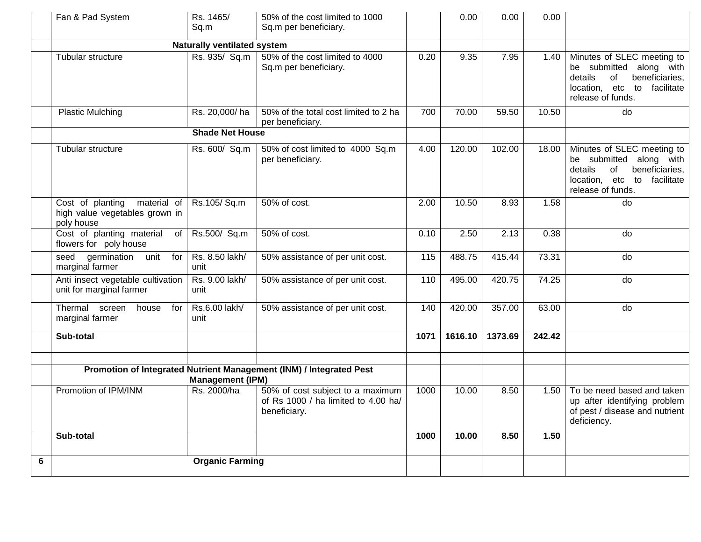|   | Fan & Pad System                                                                | Rs. 1465/<br>Sq.m                    | 50% of the cost limited to 1000<br>Sq.m per beneficiary.                                |      | 0.00    | 0.00    | 0.00   |                                                                                                                                                 |
|---|---------------------------------------------------------------------------------|--------------------------------------|-----------------------------------------------------------------------------------------|------|---------|---------|--------|-------------------------------------------------------------------------------------------------------------------------------------------------|
|   |                                                                                 | <b>Naturally ventilated system</b>   |                                                                                         |      |         |         |        |                                                                                                                                                 |
|   | Tubular structure                                                               | $\overline{\mathsf{Rs}}$ . 935/ Sq.m | 50% of the cost limited to 4000<br>Sq.m per beneficiary.                                | 0.20 | 9.35    | 7.95    | 1.40   | Minutes of SLEC meeting to<br>be submitted along with<br>details<br>of<br>beneficiaries,<br>location, etc to<br>facilitate<br>release of funds. |
|   | <b>Plastic Mulching</b>                                                         | Rs. 20,000/ha                        | 50% of the total cost limited to 2 ha<br>per beneficiary.                               | 700  | 70.00   | 59.50   | 10.50  | do                                                                                                                                              |
|   |                                                                                 | <b>Shade Net House</b>               |                                                                                         |      |         |         |        |                                                                                                                                                 |
|   | Tubular structure                                                               | Rs. 600/ Sq.m                        | 50% of cost limited to 4000 Sq.m<br>per beneficiary.                                    | 4.00 | 120.00  | 102.00  | 18.00  | Minutes of SLEC meeting to<br>be submitted<br>along with<br>details<br>of<br>beneficiaries,<br>location, etc to facilitate<br>release of funds. |
|   | Cost of planting<br>material of<br>high value vegetables grown in<br>poly house | Rs.105/Sq.m                          | 50% of cost.                                                                            | 2.00 | 10.50   | 8.93    | 1.58   | do                                                                                                                                              |
|   | Cost of planting material<br>of<br>flowers for poly house                       | Rs.500/ Sq.m                         | 50% of cost.                                                                            | 0.10 | 2.50    | 2.13    | 0.38   | do                                                                                                                                              |
|   | germination unit for<br>seed<br>marginal farmer                                 | Rs. 8.50 lakh/<br>unit               | 50% assistance of per unit cost.                                                        | 115  | 488.75  | 415.44  | 73.31  | do                                                                                                                                              |
|   | Anti insect vegetable cultivation<br>unit for marginal farmer                   | Rs. 9.00 lakh/<br>unit               | 50% assistance of per unit cost.                                                        | 110  | 495.00  | 420.75  | 74.25  | do                                                                                                                                              |
|   | Thermal<br>screen<br>house<br>for<br>marginal farmer                            | Rs.6.00 lakh/<br>unit                | 50% assistance of per unit cost.                                                        | 140  | 420.00  | 357.00  | 63.00  | do                                                                                                                                              |
|   | Sub-total                                                                       |                                      |                                                                                         | 1071 | 1616.10 | 1373.69 | 242.42 |                                                                                                                                                 |
|   |                                                                                 |                                      |                                                                                         |      |         |         |        |                                                                                                                                                 |
|   |                                                                                 | <b>Management (IPM)</b>              | Promotion of Integrated Nutrient Management (INM) / Integrated Pest                     |      |         |         |        |                                                                                                                                                 |
|   | Promotion of IPM/INM                                                            | Rs. 2000/ha                          | 50% of cost subject to a maximum<br>of Rs 1000 / ha limited to 4.00 ha/<br>beneficiary. | 1000 | 10.00   | 8.50    | 1.50   | To be need based and taken<br>up after identifying problem<br>of pest / disease and nutrient<br>deficiency.                                     |
|   | Sub-total                                                                       |                                      |                                                                                         | 1000 | 10.00   | 8.50    | 1.50   |                                                                                                                                                 |
| 6 |                                                                                 | <b>Organic Farming</b>               |                                                                                         |      |         |         |        |                                                                                                                                                 |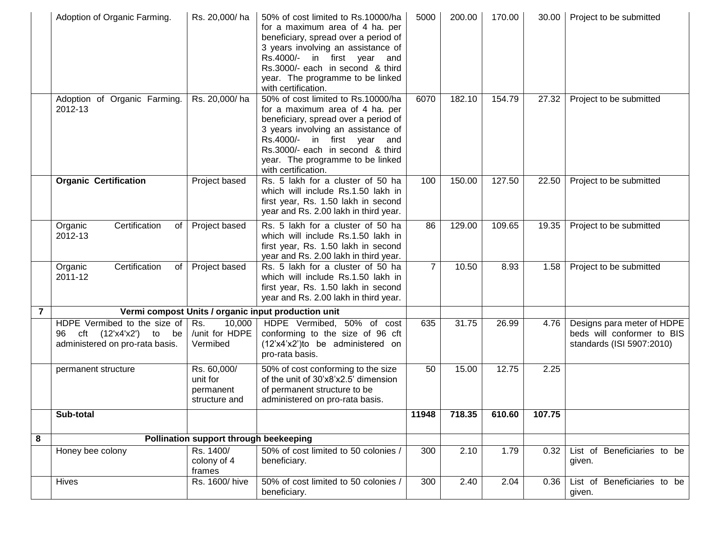|                | Adoption of Organic Farming.                                                                     | Rs. 20,000/ha                                         | 50% of cost limited to Rs.10000/ha<br>for a maximum area of 4 ha. per<br>beneficiary, spread over a period of<br>3 years involving an assistance of<br>Rs.4000/- in first year and<br>Rs.3000/- each in second & third<br>year. The programme to be linked<br>with certification. | 5000           | 200.00 | 170.00 | 30.00  | Project to be submitted                                                               |
|----------------|--------------------------------------------------------------------------------------------------|-------------------------------------------------------|-----------------------------------------------------------------------------------------------------------------------------------------------------------------------------------------------------------------------------------------------------------------------------------|----------------|--------|--------|--------|---------------------------------------------------------------------------------------|
|                | Adoption of Organic Farming.<br>2012-13                                                          | Rs. 20,000/ha                                         | 50% of cost limited to Rs.10000/ha<br>for a maximum area of 4 ha. per<br>beneficiary, spread over a period of<br>3 years involving an assistance of<br>Rs.4000/- in first year and<br>Rs.3000/- each in second & third<br>year. The programme to be linked<br>with certification. | 6070           | 182.10 | 154.79 | 27.32  | Project to be submitted                                                               |
|                | <b>Organic Certification</b>                                                                     | Project based                                         | Rs. 5 lakh for a cluster of 50 ha<br>which will include Rs.1.50 lakh in<br>first year, Rs. 1.50 lakh in second<br>year and Rs. 2.00 lakh in third year.                                                                                                                           | 100            | 150.00 | 127.50 | 22.50  | Project to be submitted                                                               |
|                | Certification<br>Organic<br>of I<br>2012-13                                                      | Project based                                         | Rs. 5 lakh for a cluster of 50 ha<br>which will include Rs.1.50 lakh in<br>first year, Rs. 1.50 lakh in second<br>year and Rs. 2.00 lakh in third year.                                                                                                                           | 86             | 129.00 | 109.65 | 19.35  | Project to be submitted                                                               |
|                | Certification<br>Organic<br>of<br>2011-12                                                        | Project based                                         | Rs. 5 lakh for a cluster of 50 ha<br>which will include Rs.1.50 lakh in<br>first year, Rs. 1.50 lakh in second<br>year and Rs. 2.00 lakh in third year.                                                                                                                           | $\overline{7}$ | 10.50  | 8.93   | 1.58   | Project to be submitted                                                               |
| $\overline{7}$ |                                                                                                  |                                                       | Vermi compost Units / organic input production unit                                                                                                                                                                                                                               |                |        |        |        |                                                                                       |
|                | HDPE Vermibed to the size of<br>cft $(12'x4'x2')$ to be<br>96<br>administered on pro-rata basis. | 10,000<br>Rs.<br>/unit for HDPE<br>Vermibed           | HDPE Vermibed, 50% of cost<br>conforming to the size of 96 cft<br>(12'x4'x2')to be administered on<br>pro-rata basis.                                                                                                                                                             | 635            | 31.75  | 26.99  | 4.76   | Designs para meter of HDPE<br>beds will conformer to BIS<br>standards (ISI 5907:2010) |
|                | permanent structure                                                                              | Rs. 60,000/<br>unit for<br>permanent<br>structure and | 50% of cost conforming to the size<br>of the unit of 30'x8'x2.5' dimension<br>of permanent structure to be<br>administered on pro-rata basis.                                                                                                                                     | 50             | 15.00  | 12.75  | 2.25   |                                                                                       |
|                | Sub-total                                                                                        |                                                       |                                                                                                                                                                                                                                                                                   | 11948          | 718.35 | 610.60 | 107.75 |                                                                                       |
| 8              |                                                                                                  | Pollination support through beekeeping                |                                                                                                                                                                                                                                                                                   |                |        |        |        |                                                                                       |
|                | Honey bee colony                                                                                 | Rs. 1400/<br>colony of 4<br>frames                    | 50% of cost limited to 50 colonies /<br>beneficiary.                                                                                                                                                                                                                              | 300            | 2.10   | 1.79   | 0.32   | List of Beneficiaries to be<br>given.                                                 |
|                | <b>Hives</b>                                                                                     | Rs. 1600/hive                                         | 50% of cost limited to 50 colonies /<br>beneficiary.                                                                                                                                                                                                                              | 300            | 2.40   | 2.04   | 0.36   | List of Beneficiaries to be<br>given.                                                 |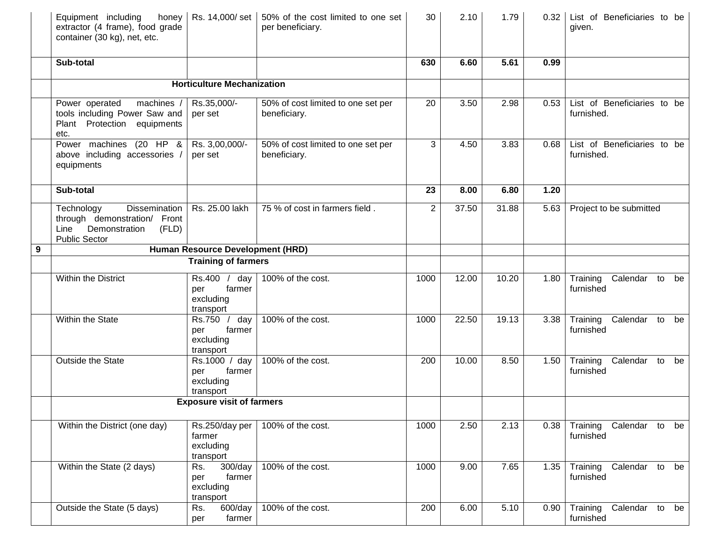|   | Equipment including<br>honey<br>extractor (4 frame), food grade<br>container (30 kg), net, etc.                      |                                                            | Rs. 14,000/set   50% of the cost limited to one set<br>per beneficiary. | 30             | 2.10  | 1.79  | 0.32 | List of Beneficiaries to be<br>given.         |
|---|----------------------------------------------------------------------------------------------------------------------|------------------------------------------------------------|-------------------------------------------------------------------------|----------------|-------|-------|------|-----------------------------------------------|
|   | Sub-total                                                                                                            |                                                            |                                                                         | 630            | 6.60  | 5.61  | 0.99 |                                               |
|   |                                                                                                                      | <b>Horticulture Mechanization</b>                          |                                                                         |                |       |       |      |                                               |
|   | machines /<br>Power operated<br>tools including Power Saw and<br>Plant Protection equipments<br>etc.                 | Rs.35,000/-<br>per set                                     | 50% of cost limited to one set per<br>beneficiary.                      | 20             | 3.50  | 2.98  | 0.53 | List of Beneficiaries to be<br>furnished.     |
|   | Power machines (20 HP &<br>above including accessories /<br>equipments                                               | Rs. 3,00,000/-<br>per set                                  | 50% of cost limited to one set per<br>beneficiary.                      | 3              | 4.50  | 3.83  | 0.68 | List of Beneficiaries to be<br>furnished.     |
|   | Sub-total                                                                                                            |                                                            |                                                                         | 23             | 8.00  | 6.80  | 1.20 |                                               |
|   | Technology<br>Dissemination  <br>through demonstration/ Front<br>Line Demonstration<br>(FLD)<br><b>Public Sector</b> | Rs. 25.00 lakh                                             | 75 % of cost in farmers field.                                          | $\overline{2}$ | 37.50 | 31.88 | 5.63 | Project to be submitted                       |
| 9 |                                                                                                                      | Human Resource Development (HRD)                           |                                                                         |                |       |       |      |                                               |
|   |                                                                                                                      | <b>Training of farmers</b>                                 |                                                                         |                |       |       |      |                                               |
|   | Within the District                                                                                                  | Rs.400 /<br>day<br>farmer<br>per<br>excluding<br>transport | 100% of the cost.                                                       | 1000           | 12.00 | 10.20 | 1.80 | Training<br>Calendar to be<br>furnished       |
|   | Within the State                                                                                                     | Rs.750 /<br>day<br>farmer<br>per<br>excluding<br>transport | 100% of the cost.                                                       | 1000           | 22.50 | 19.13 | 3.38 | Training<br>Calendar to<br>be<br>furnished    |
|   | Outside the State                                                                                                    | Rs.1000 / day<br>farmer<br>per<br>excluding<br>transport   | 100% of the cost.                                                       | 200            | 10.00 | 8.50  | 1.50 | Training<br>Calendar to<br>be<br>furnished    |
|   |                                                                                                                      | <b>Exposure visit of farmers</b>                           |                                                                         |                |       |       |      |                                               |
|   | Within the District (one day)                                                                                        | Rs.250/day per<br>farmer<br>excluding<br>transport         | 100% of the cost.                                                       | 1000           | 2.50  | 2.13  | 0.38 | Training<br>Calendar to<br>be<br>furnished    |
|   | Within the State (2 days)                                                                                            | 300/day<br>Rs.<br>farmer<br>per<br>excluding<br>transport  | 100% of the cost.                                                       | 1000           | 9.00  | 7.65  | 1.35 | Training<br>Calendar to<br>be<br>furnished    |
|   | Outside the State (5 days)                                                                                           | 600/day<br>Rs.<br>farmer<br>per                            | 100% of the cost.                                                       | 200            | 6.00  | 5.10  | 0.90 | $T$ raining<br>Calendar to<br>be<br>furnished |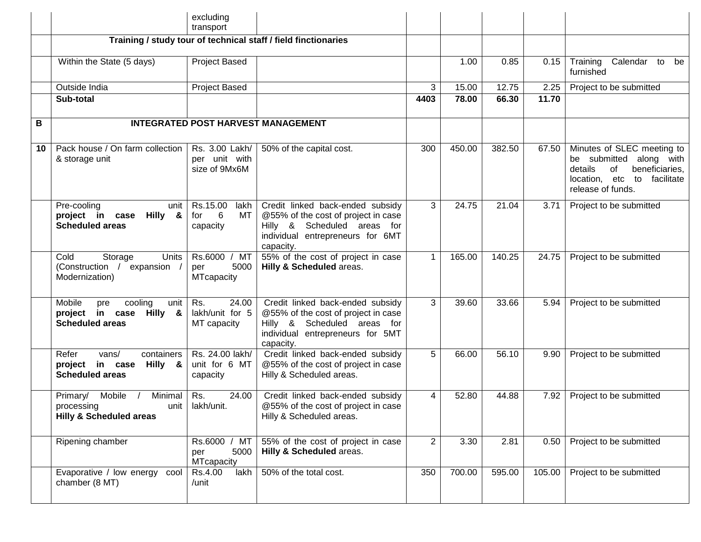|    |                                                                                          | excluding<br>transport                                       |                                                                                                                                                         |                |        |        |        |                                                                                                                                              |
|----|------------------------------------------------------------------------------------------|--------------------------------------------------------------|---------------------------------------------------------------------------------------------------------------------------------------------------------|----------------|--------|--------|--------|----------------------------------------------------------------------------------------------------------------------------------------------|
|    |                                                                                          |                                                              | Training / study tour of technical staff / field finctionaries                                                                                          |                |        |        |        |                                                                                                                                              |
|    | Within the State (5 days)                                                                | Project Based                                                |                                                                                                                                                         |                | 1.00   | 0.85   | 0.15   | Calendar to<br>Training<br>be<br>furnished                                                                                                   |
|    | Outside India                                                                            | Project Based                                                |                                                                                                                                                         | 3              | 15.00  | 12.75  | 2.25   | Project to be submitted                                                                                                                      |
|    | Sub-total                                                                                |                                                              |                                                                                                                                                         | 4403           | 78.00  | 66.30  | 11.70  |                                                                                                                                              |
| B  |                                                                                          |                                                              | <b>INTEGRATED POST HARVEST MANAGEMENT</b>                                                                                                               |                |        |        |        |                                                                                                                                              |
| 10 | Pack house / On farm collection<br>& storage unit                                        | Rs. 3.00 Lakh/<br>per unit with<br>size of 9Mx6M             | 50% of the capital cost.                                                                                                                                | 300            | 450.00 | 382.50 | 67.50  | Minutes of SLEC meeting to<br>be submitted along with<br>details<br>of<br>beneficiaries,<br>location, etc to facilitate<br>release of funds. |
|    | Pre-cooling<br>unit<br>project in case<br>Hilly &<br><b>Scheduled areas</b>              | Rs.15.00<br>lakh<br>$6\overline{6}$<br>for<br>MT<br>capacity | Credit linked back-ended subsidy<br>@55% of the cost of project in case<br>Hilly & Scheduled areas for<br>individual entrepreneurs for 6MT<br>capacity. | 3              | 24.75  | 21.04  | 3.71   | Project to be submitted                                                                                                                      |
|    | Units<br>Cold<br>Storage<br>(Construction /<br>expansion<br>Modernization)               | Rs.6000 / MT<br>5000<br>per<br><b>MTcapacity</b>             | 55% of the cost of project in case<br>Hilly & Scheduled areas.                                                                                          | 1              | 165.00 | 140.25 | 24.75  | Project to be submitted                                                                                                                      |
|    | Mobile<br>cooling<br>unit<br>pre<br>in case Hilly &<br>project<br><b>Scheduled areas</b> | 24.00<br>Rs.<br>lakh/unit for 5<br>MT capacity               | Credit linked back-ended subsidy<br>@55% of the cost of project in case<br>Hilly & Scheduled areas for<br>individual entrepreneurs for 5MT<br>capacity. | 3              | 39.60  | 33.66  | 5.94   | Project to be submitted                                                                                                                      |
|    | Refer<br>vans/<br>containers<br>in case Hilly &<br>project<br><b>Scheduled areas</b>     | Rs. 24.00 lakh/<br>unit for 6 MT<br>capacity                 | Credit linked back-ended subsidy<br>@55% of the cost of project in case<br>Hilly & Scheduled areas.                                                     | 5              | 66.00  | 56.10  | 9.90   | Project to be submitted                                                                                                                      |
|    | Minimal<br>Mobile<br>Primary/<br>processing<br><b>Hilly &amp; Scheduled areas</b>        | Rs.<br>24.00<br>unit   lakh/unit.                            | Credit linked back-ended subsidy<br>@55% of the cost of project in case<br>Hilly & Scheduled areas.                                                     | 4              | 52.80  | 44.88  | 7.92   | Project to be submitted                                                                                                                      |
|    | Ripening chamber                                                                         | Rs.6000 / MT<br>5000<br>per<br><b>MTcapacity</b>             | 55% of the cost of project in case<br>Hilly & Scheduled areas.                                                                                          | $\overline{2}$ | 3.30   | 2.81   | 0.50   | Project to be submitted                                                                                                                      |
|    | Evaporative / low energy<br>cool<br>chamber (8 MT)                                       | Rs.4.00<br>lakh<br>/unit                                     | 50% of the total cost.                                                                                                                                  | 350            | 700.00 | 595.00 | 105.00 | Project to be submitted                                                                                                                      |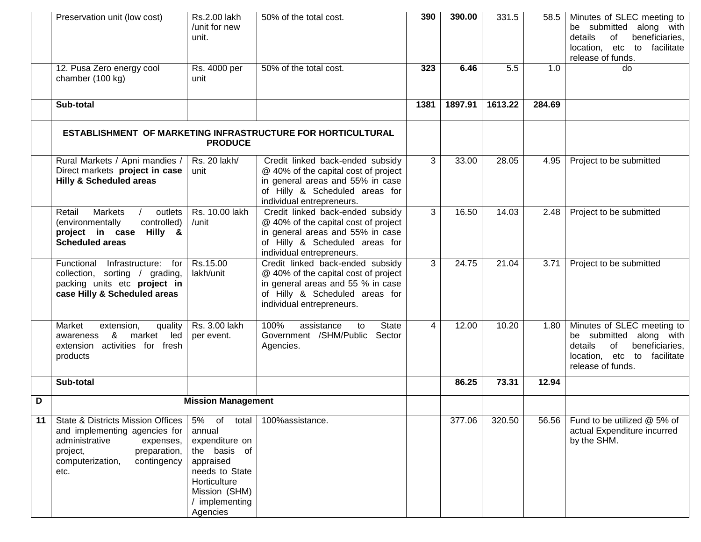|    | Preservation unit (low cost)                                                                                                                                                        | <b>Rs.2.00 lakh</b><br>/unit for new<br>unit.                                                                                                         | 50% of the total cost.                                                                                                                                                       | 390  | 390.00  | 331.5   | 58.5   | Minutes of SLEC meeting to<br>be submitted along with<br>details<br>of<br>beneficiaries,<br>location, etc to facilitate<br>release of funds. |
|----|-------------------------------------------------------------------------------------------------------------------------------------------------------------------------------------|-------------------------------------------------------------------------------------------------------------------------------------------------------|------------------------------------------------------------------------------------------------------------------------------------------------------------------------------|------|---------|---------|--------|----------------------------------------------------------------------------------------------------------------------------------------------|
|    | 12. Pusa Zero energy cool<br>chamber (100 kg)                                                                                                                                       | Rs. 4000 per<br>unit                                                                                                                                  | 50% of the total cost.                                                                                                                                                       | 323  | 6.46    | 5.5     | 1.0    | do                                                                                                                                           |
|    | Sub-total                                                                                                                                                                           |                                                                                                                                                       |                                                                                                                                                                              | 1381 | 1897.91 | 1613.22 | 284.69 |                                                                                                                                              |
|    |                                                                                                                                                                                     | <b>PRODUCE</b>                                                                                                                                        | ESTABLISHMENT OF MARKETING INFRASTRUCTURE FOR HORTICULTURAL                                                                                                                  |      |         |         |        |                                                                                                                                              |
|    | Rural Markets / Apni mandies /<br>Direct markets project in case<br><b>Hilly &amp; Scheduled areas</b>                                                                              | Rs. 20 lakh/<br>unit                                                                                                                                  | Credit linked back-ended subsidy<br>@ 40% of the capital cost of project<br>in general areas and 55% in case<br>of Hilly & Scheduled areas for<br>individual entrepreneurs.  | 3    | 33.00   | 28.05   | 4.95   | Project to be submitted                                                                                                                      |
|    | <b>Markets</b><br>Retail<br>outlets<br>(environmentally<br>controlled)<br>project in case Hilly &<br><b>Scheduled areas</b>                                                         | Rs. 10.00 lakh<br>/unit                                                                                                                               | Credit linked back-ended subsidy<br>@ 40% of the capital cost of project<br>in general areas and 55% in case<br>of Hilly & Scheduled areas for<br>individual entrepreneurs.  | 3    | 16.50   | 14.03   | 2.48   | Project to be submitted                                                                                                                      |
|    | Functional<br>Infrastructure:<br>for<br>collection, sorting / grading,<br>packing units etc project in<br>case Hilly & Scheduled areas                                              | Rs.15.00<br>lakh/unit                                                                                                                                 | Credit linked back-ended subsidy<br>@ 40% of the capital cost of project<br>in general areas and 55 % in case<br>of Hilly & Scheduled areas for<br>individual entrepreneurs. | 3    | 24.75   | 21.04   | 3.71   | Project to be submitted                                                                                                                      |
|    | Market<br>extension,<br>quality<br>market<br>&<br>led<br>awareness<br>extension activities for fresh<br>products                                                                    | Rs. 3.00 lakh<br>per event.                                                                                                                           | 100%<br><b>State</b><br>assistance<br>to<br>Government /SHM/Public Sector<br>Agencies.                                                                                       | 4    | 12.00   | 10.20   | 1.80   | Minutes of SLEC meeting to<br>be submitted along with<br>details<br>of<br>beneficiaries,<br>location, etc to facilitate<br>release of funds. |
|    | Sub-total                                                                                                                                                                           |                                                                                                                                                       |                                                                                                                                                                              |      | 86.25   | 73.31   | 12.94  |                                                                                                                                              |
| D  |                                                                                                                                                                                     | <b>Mission Management</b>                                                                                                                             |                                                                                                                                                                              |      |         |         |        |                                                                                                                                              |
| 11 | <b>State &amp; Districts Mission Offices</b><br>and implementing agencies for<br>administrative<br>expenses,<br>preparation,<br>project,<br>computerization,<br>contingency<br>etc. | 5% of total<br>annual<br>expenditure on<br>the basis of<br>appraised<br>needs to State<br>Horticulture<br>Mission (SHM)<br>/ implementing<br>Agencies | 100%assistance.                                                                                                                                                              |      | 377.06  | 320.50  | 56.56  | Fund to be utilized @ 5% of<br>actual Expenditure incurred<br>by the SHM.                                                                    |